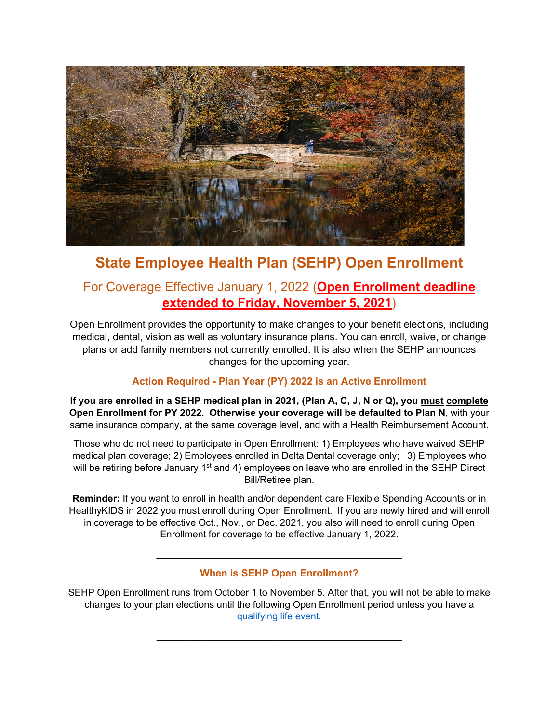

# **State Employee Health Plan (SEHP) Open Enrollment**

# For Coverage Effective January 1, 2022 (**Open Enrollment deadline extended to Friday, November 5, 2021**)

Open Enrollment provides the opportunity to make changes to your benefit elections, including medical, dental, vision as well as voluntary insurance plans. You can enroll, waive, or change plans or add family members not currently enrolled. It is also when the SEHP announces changes for the upcoming year.

## **Action Required - Plan Year (PY) 2022 is an Active Enrollment**

**If you are enrolled in a SEHP medical plan in 2021, (Plan A, C, J, N or Q), you must complete Open Enrollment for PY 2022. Otherwise your coverage will be defaulted to Plan N**, with your same insurance company, at the same coverage level, and with a Health Reimbursement Account.

Those who do not need to participate in Open Enrollment: 1) Employees who have waived SEHP medical plan coverage; 2) Employees enrolled in Delta Dental coverage only; 3) Employees who will be retiring before January 1<sup>st</sup> and 4) employees on leave who are enrolled in the SEHP Direct Bill/Retiree plan.

**Reminder:** If you want to enroll in health and/or dependent care Flexible Spending Accounts or in HealthyKIDS in 2022 you must enroll during Open Enrollment. If you are newly hired and will enroll in coverage to be effective Oct., Nov., or Dec. 2021, you also will need to enroll during Open Enrollment for coverage to be effective January 1, 2022.

**When is SEHP Open Enrollment?**

 $\overline{a_1}$  ,  $\overline{a_2}$  ,  $\overline{a_3}$  ,  $\overline{a_4}$  ,  $\overline{a_5}$  ,  $\overline{a_6}$  ,  $\overline{a_7}$  ,  $\overline{a_8}$  ,  $\overline{a_9}$  ,  $\overline{a_9}$  ,  $\overline{a_9}$  ,  $\overline{a_9}$  ,  $\overline{a_9}$  ,  $\overline{a_9}$  ,  $\overline{a_9}$  ,  $\overline{a_9}$  ,  $\overline{a_9}$  ,

SEHP Open Enrollment runs from October 1 to November 5. After that, you will not be able to make changes to your plan elections until the following Open Enrollment period unless you have a [qualifying life event.](http://humanresources.ku.edu/changes-life-events-0)

 $\overline{a_1}$  , and the set of the set of the set of the set of the set of the set of the set of the set of the set of the set of the set of the set of the set of the set of the set of the set of the set of the set of the se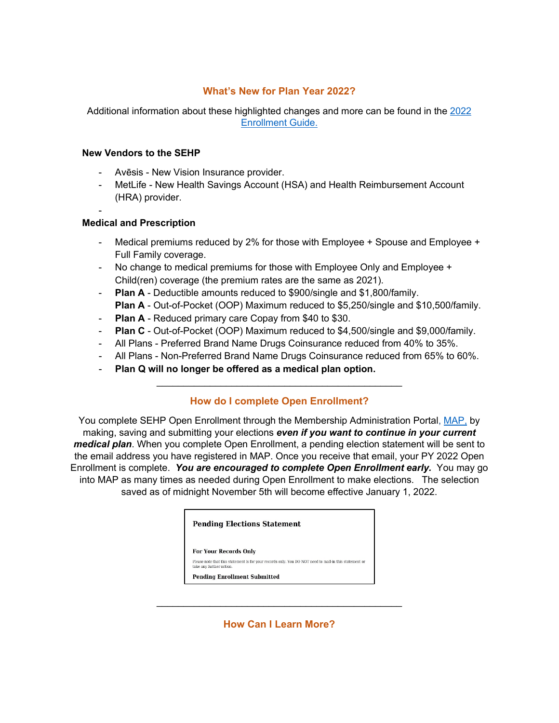### **What's New for Plan Year 2022?**

Additional information about these highlighted changes and more can be found in the [2022](https://healthbenefitsprogram.ks.gov/docs/default-source/site-documents/sehp/open-enrollment/2022/2022-active-ee-enrollment-guide---final.pdf?sfvrsn=95783cd1_2)  [Enrollment Guide.](https://healthbenefitsprogram.ks.gov/docs/default-source/site-documents/sehp/open-enrollment/2022/2022-active-ee-enrollment-guide---final.pdf?sfvrsn=95783cd1_2)

#### **New Vendors to the SEHP**

- Avēsis New Vision Insurance provider.
- MetLife New Health Savings Account (HSA) and Health Reimbursement Account (HRA) provider.
- -

#### **Medical and Prescription**

- Medical premiums reduced by 2% for those with Employee + Spouse and Employee + Full Family coverage.
- No change to medical premiums for those with Employee Only and Employee + Child(ren) coverage (the premium rates are the same as 2021).
- **Plan A** Deductible amounts reduced to \$900/single and \$1,800/family. **Plan A** - Out-of-Pocket (OOP) Maximum reduced to \$5,250/single and \$10,500/family.
- **Plan A** Reduced primary care Copay from \$40 to \$30.
- **Plan C** Out-of-Pocket (OOP) Maximum reduced to \$4,500/single and \$9,000/family.
- All Plans Preferred Brand Name Drugs Coinsurance reduced from 40% to 35%.
- All Plans Non-Preferred Brand Name Drugs Coinsurance reduced from 65% to 60%.
- **Plan Q will no longer be offered as a medical plan option.**

## **How do I complete Open Enrollment?**

 $\overline{\phantom{a}}$  , and the contribution of the contribution of  $\overline{\phantom{a}}$  , and  $\overline{\phantom{a}}$  , and  $\overline{\phantom{a}}$  , and  $\overline{\phantom{a}}$  , and  $\overline{\phantom{a}}$  , and  $\overline{\phantom{a}}$  , and  $\overline{\phantom{a}}$  , and  $\overline{\phantom{a}}$  , and  $\overline{\phantom{a}}$  , and

You complete SEHP Open Enrollment through the Membership Administration Portal, [MAP,](https://sso.cobraguard.net/module.php/saml/disco.php?entityID=https%3A%2F%2Fsso.cobraguard.net%2Fmodule.php%2Fsaml%2Fsp%2Fmetadata.php%2Fprod-sp&return=https%3A%2F%2Fsso.cobraguard.net%2Fmodule.php%2Fsaml%2Fsp%2Fdiscoresp.php%3FAuthID%3D_22579acb59955f714b7286c4259b513a0ed2e903ab%253Ahttps%253A%252F%252Fsso.cobraguard.net%252Fmodule.php%252Fcore%252Fas_login.php%253FAuthId%253Dprod-sp%2526ReturnTo%253Dhttps%25253A%25252F%25252Fsso.cobraguard.net%25252Fseer_login.php&returnIDParam=idpentityid) by making, saving and submitting your elections *even if you want to continue in your current medical plan*. When you complete Open Enrollment, a pending election statement will be sent to the email address you have registered in MAP. Once you receive that email, your PY 2022 Open Enrollment is complete. *You are encouraged to complete Open Enrollment early.* You may go into MAP as many times as needed during Open Enrollment to make elections. The selection saved as of midnight November 5th will become effective January 1, 2022.

|  |  | <b>Pending Elections Statement</b> |  |
|--|--|------------------------------------|--|
|--|--|------------------------------------|--|

For Your Records Only

Please note that this statement is for your records only. You DO NOT need to mail-in this statement or take any further action.

**Pending Enrollment Submitted** 

**How Can I Learn More?**

\_\_\_\_\_\_\_\_\_\_\_\_\_\_\_\_\_\_\_\_\_\_\_\_\_\_\_\_\_\_\_\_\_\_\_\_\_\_\_\_\_\_\_\_\_\_